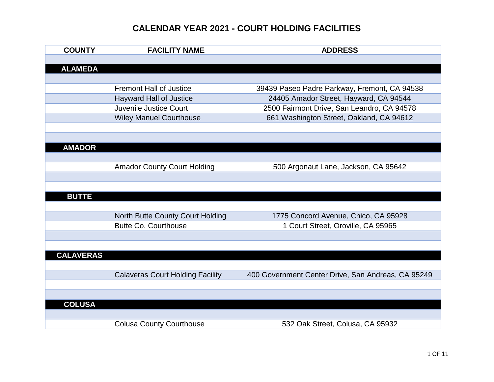| <b>COUNTY</b>    | <b>FACILITY NAME</b>                    | <b>ADDRESS</b>                                     |
|------------------|-----------------------------------------|----------------------------------------------------|
|                  |                                         |                                                    |
| <b>ALAMEDA</b>   |                                         |                                                    |
|                  |                                         |                                                    |
|                  | <b>Fremont Hall of Justice</b>          | 39439 Paseo Padre Parkway, Fremont, CA 94538       |
|                  | <b>Hayward Hall of Justice</b>          | 24405 Amador Street, Hayward, CA 94544             |
|                  | Juvenile Justice Court                  | 2500 Fairmont Drive, San Leandro, CA 94578         |
|                  | <b>Wiley Manuel Courthouse</b>          | 661 Washington Street, Oakland, CA 94612           |
|                  |                                         |                                                    |
|                  |                                         |                                                    |
| <b>AMADOR</b>    |                                         |                                                    |
|                  |                                         |                                                    |
|                  | <b>Amador County Court Holding</b>      | 500 Argonaut Lane, Jackson, CA 95642               |
|                  |                                         |                                                    |
|                  |                                         |                                                    |
| <b>BUTTE</b>     |                                         |                                                    |
|                  |                                         |                                                    |
|                  | North Butte County Court Holding        | 1775 Concord Avenue, Chico, CA 95928               |
|                  | <b>Butte Co. Courthouse</b>             | 1 Court Street, Oroville, CA 95965                 |
|                  |                                         |                                                    |
|                  |                                         |                                                    |
| <b>CALAVERAS</b> |                                         |                                                    |
|                  |                                         |                                                    |
|                  | <b>Calaveras Court Holding Facility</b> | 400 Government Center Drive, San Andreas, CA 95249 |
|                  |                                         |                                                    |
|                  |                                         |                                                    |
| <b>COLUSA</b>    |                                         |                                                    |
|                  |                                         |                                                    |
|                  | <b>Colusa County Courthouse</b>         | 532 Oak Street, Colusa, CA 95932                   |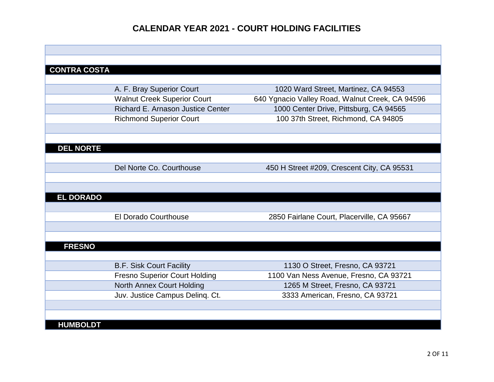| <b>CONTRA COSTA</b> |                                      |                                                 |
|---------------------|--------------------------------------|-------------------------------------------------|
|                     |                                      |                                                 |
|                     | A. F. Bray Superior Court            | 1020 Ward Street, Martinez, CA 94553            |
|                     | <b>Walnut Creek Superior Court</b>   | 640 Ygnacio Valley Road, Walnut Creek, CA 94596 |
|                     | Richard E. Arnason Justice Center    | 1000 Center Drive, Pittsburg, CA 94565          |
|                     | <b>Richmond Superior Court</b>       | 100 37th Street, Richmond, CA 94805             |
|                     |                                      |                                                 |
|                     |                                      |                                                 |
| <b>DEL NORTE</b>    |                                      |                                                 |
|                     |                                      |                                                 |
|                     | Del Norte Co. Courthouse             | 450 H Street #209, Crescent City, CA 95531      |
|                     |                                      |                                                 |
|                     |                                      |                                                 |
| <b>EL DORADO</b>    |                                      |                                                 |
|                     |                                      |                                                 |
|                     | <b>El Dorado Courthouse</b>          | 2850 Fairlane Court, Placerville, CA 95667      |
|                     |                                      |                                                 |
|                     |                                      |                                                 |
| <b>FRESNO</b>       |                                      |                                                 |
|                     |                                      |                                                 |
|                     | <b>B.F. Sisk Court Facility</b>      | 1130 O Street, Fresno, CA 93721                 |
|                     | <b>Fresno Superior Court Holding</b> | 1100 Van Ness Avenue, Fresno, CA 93721          |
|                     | <b>North Annex Court Holding</b>     | 1265 M Street, Fresno, CA 93721                 |
|                     | Juv. Justice Campus Delinq. Ct.      | 3333 American, Fresno, CA 93721                 |
|                     |                                      |                                                 |
|                     |                                      |                                                 |
| <b>HUMBOLDT</b>     |                                      |                                                 |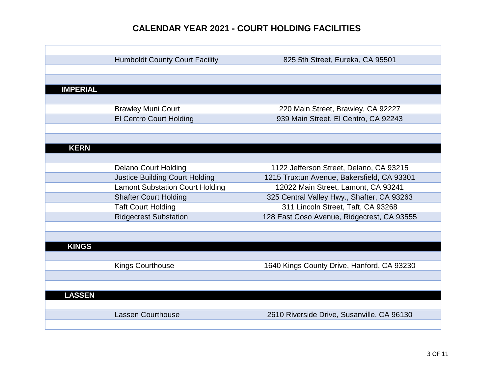|                 | <b>Humboldt County Court Facility</b>  | 825 5th Street, Eureka, CA 95501           |
|-----------------|----------------------------------------|--------------------------------------------|
|                 |                                        |                                            |
|                 |                                        |                                            |
| <b>IMPERIAL</b> |                                        |                                            |
|                 |                                        |                                            |
|                 | <b>Brawley Muni Court</b>              | 220 Main Street, Brawley, CA 92227         |
|                 | <b>El Centro Court Holding</b>         | 939 Main Street, El Centro, CA 92243       |
|                 |                                        |                                            |
|                 |                                        |                                            |
| <b>KERN</b>     |                                        |                                            |
|                 |                                        |                                            |
|                 | <b>Delano Court Holding</b>            | 1122 Jefferson Street, Delano, CA 93215    |
|                 | <b>Justice Building Court Holding</b>  | 1215 Truxtun Avenue, Bakersfield, CA 93301 |
|                 | <b>Lamont Substation Court Holding</b> | 12022 Main Street, Lamont, CA 93241        |
|                 | <b>Shafter Court Holding</b>           | 325 Central Valley Hwy., Shafter, CA 93263 |
|                 | <b>Taft Court Holding</b>              | 311 Lincoln Street, Taft, CA 93268         |
|                 | <b>Ridgecrest Substation</b>           | 128 East Coso Avenue, Ridgecrest, CA 93555 |
|                 |                                        |                                            |
|                 |                                        |                                            |
| <b>KINGS</b>    |                                        |                                            |
|                 |                                        |                                            |
|                 | <b>Kings Courthouse</b>                | 1640 Kings County Drive, Hanford, CA 93230 |
|                 |                                        |                                            |
|                 |                                        |                                            |
| <b>LASSEN</b>   |                                        |                                            |
|                 |                                        |                                            |
|                 | <b>Lassen Courthouse</b>               | 2610 Riverside Drive, Susanville, CA 96130 |
|                 |                                        |                                            |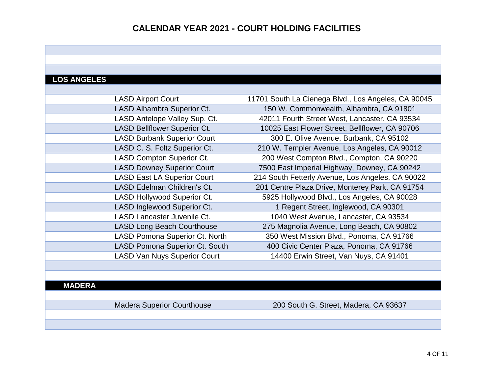# **LOS ANGELES**

| <b>LASD Airport Court</b>             | 11701 South La Cienega Blvd., Los Angeles, CA 90045 |
|---------------------------------------|-----------------------------------------------------|
| LASD Alhambra Superior Ct.            | 150 W. Commonwealth, Alhambra, CA 91801             |
| LASD Antelope Valley Sup. Ct.         | 42011 Fourth Street West, Lancaster, CA 93534       |
| <b>LASD Bellflower Superior Ct.</b>   | 10025 East Flower Street, Bellflower, CA 90706      |
| <b>LASD Burbank Superior Court</b>    | 300 E. Olive Avenue, Burbank, CA 95102              |
| LASD C. S. Foltz Superior Ct.         | 210 W. Templer Avenue, Los Angeles, CA 90012        |
| <b>LASD Compton Superior Ct.</b>      | 200 West Compton Blvd., Compton, CA 90220           |
| <b>LASD Downey Superior Court</b>     | 7500 East Imperial Highway, Downey, CA 90242        |
| <b>LASD East LA Superior Court</b>    | 214 South Fetterly Avenue, Los Angeles, CA 90022    |
| LASD Edelman Children's Ct.           | 201 Centre Plaza Drive, Monterey Park, CA 91754     |
| <b>LASD Hollywood Superior Ct.</b>    | 5925 Hollywood Blvd., Los Angeles, CA 90028         |
| LASD Inglewood Superior Ct.           | 1 Regent Street, Inglewood, CA 90301                |
| <b>LASD Lancaster Juvenile Ct.</b>    | 1040 West Avenue, Lancaster, CA 93534               |
| <b>LASD Long Beach Courthouse</b>     | 275 Magnolia Avenue, Long Beach, CA 90802           |
| LASD Pomona Superior Ct. North        | 350 West Mission Blvd., Ponoma, CA 91766            |
| <b>LASD Pomona Superior Ct. South</b> | 400 Civic Center Plaza, Ponoma, CA 91766            |
| <b>LASD Van Nuys Superior Court</b>   | 14400 Erwin Street, Van Nuys, CA 91401              |

#### **MADERA**

Madera Superior Courthouse 200 South G. Street, Madera, CA 93637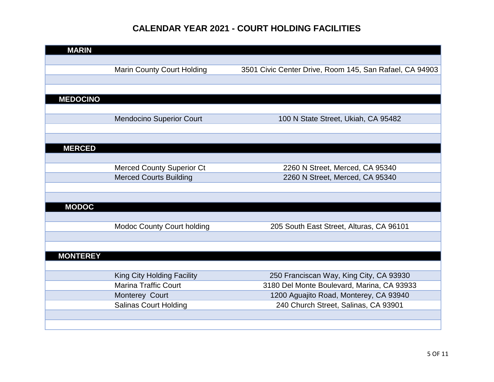| <b>MARIN</b>    |                                   |                                                         |
|-----------------|-----------------------------------|---------------------------------------------------------|
|                 |                                   |                                                         |
|                 | <b>Marin County Court Holding</b> | 3501 Civic Center Drive, Room 145, San Rafael, CA 94903 |
|                 |                                   |                                                         |
|                 |                                   |                                                         |
| <b>MEDOCINO</b> |                                   |                                                         |
|                 |                                   |                                                         |
|                 | <b>Mendocino Superior Court</b>   | 100 N State Street, Ukiah, CA 95482                     |
|                 |                                   |                                                         |
|                 |                                   |                                                         |
| <b>MERCED</b>   |                                   |                                                         |
|                 |                                   |                                                         |
|                 | <b>Merced County Superior Ct</b>  | 2260 N Street, Merced, CA 95340                         |
|                 | <b>Merced Courts Building</b>     | 2260 N Street, Merced, CA 95340                         |
|                 |                                   |                                                         |
|                 |                                   |                                                         |
| <b>MODOC</b>    |                                   |                                                         |
|                 |                                   |                                                         |
|                 | <b>Modoc County Court holding</b> | 205 South East Street, Alturas, CA 96101                |
|                 |                                   |                                                         |
|                 |                                   |                                                         |
| <b>MONTEREY</b> |                                   |                                                         |
|                 |                                   |                                                         |
|                 | King City Holding Facility        | 250 Franciscan Way, King City, CA 93930                 |
|                 | <b>Marina Traffic Court</b>       | 3180 Del Monte Boulevard, Marina, CA 93933              |
|                 | Monterey Court                    | 1200 Aguajito Road, Monterey, CA 93940                  |
|                 | <b>Salinas Court Holding</b>      | 240 Church Street, Salinas, CA 93901                    |
|                 |                                   |                                                         |
|                 |                                   |                                                         |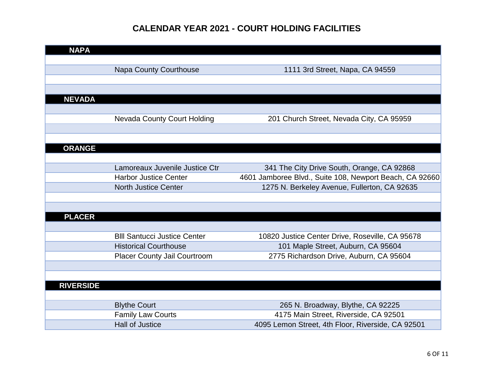| <b>NAPA</b>      |                                     |                                                         |
|------------------|-------------------------------------|---------------------------------------------------------|
|                  |                                     |                                                         |
|                  | <b>Napa County Courthouse</b>       | 1111 3rd Street, Napa, CA 94559                         |
|                  |                                     |                                                         |
|                  |                                     |                                                         |
| <b>NEVADA</b>    |                                     |                                                         |
|                  |                                     |                                                         |
|                  | Nevada County Court Holding         | 201 Church Street, Nevada City, CA 95959                |
|                  |                                     |                                                         |
|                  |                                     |                                                         |
| <b>ORANGE</b>    |                                     |                                                         |
|                  |                                     |                                                         |
|                  | Lamoreaux Juvenile Justice Ctr      | 341 The City Drive South, Orange, CA 92868              |
|                  | <b>Harbor Justice Center</b>        | 4601 Jamboree Blvd., Suite 108, Newport Beach, CA 92660 |
|                  | <b>North Justice Center</b>         | 1275 N. Berkeley Avenue, Fullerton, CA 92635            |
|                  |                                     |                                                         |
|                  |                                     |                                                         |
| <b>PLACER</b>    |                                     |                                                         |
|                  |                                     |                                                         |
|                  | <b>BIII Santucci Justice Center</b> | 10820 Justice Center Drive, Roseville, CA 95678         |
|                  | <b>Historical Courthouse</b>        | 101 Maple Street, Auburn, CA 95604                      |
|                  | <b>Placer County Jail Courtroom</b> | 2775 Richardson Drive, Auburn, CA 95604                 |
|                  |                                     |                                                         |
|                  |                                     |                                                         |
| <b>RIVERSIDE</b> |                                     |                                                         |
|                  |                                     |                                                         |
|                  | <b>Blythe Court</b>                 | 265 N. Broadway, Blythe, CA 92225                       |
|                  | <b>Family Law Courts</b>            | 4175 Main Street, Riverside, CA 92501                   |
|                  | <b>Hall of Justice</b>              | 4095 Lemon Street, 4th Floor, Riverside, CA 92501       |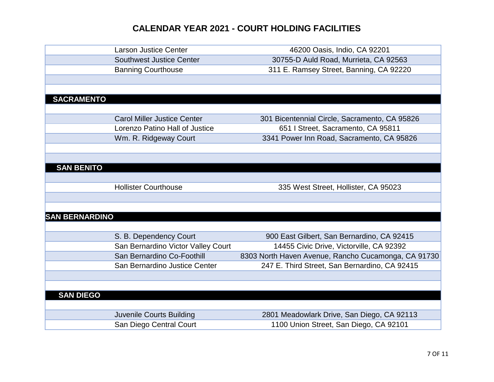|                       | <b>Larson Justice Center</b>       | 46200 Oasis, Indio, CA 92201                        |
|-----------------------|------------------------------------|-----------------------------------------------------|
|                       | <b>Southwest Justice Center</b>    | 30755-D Auld Road, Murrieta, CA 92563               |
|                       | <b>Banning Courthouse</b>          | 311 E. Ramsey Street, Banning, CA 92220             |
|                       |                                    |                                                     |
|                       |                                    |                                                     |
| <b>SACRAMENTO</b>     |                                    |                                                     |
|                       |                                    |                                                     |
|                       | <b>Carol Miller Justice Center</b> | 301 Bicentennial Circle, Sacramento, CA 95826       |
|                       | Lorenzo Patino Hall of Justice     | 651   Street, Sacramento, CA 95811                  |
|                       | Wm. R. Ridgeway Court              | 3341 Power Inn Road, Sacramento, CA 95826           |
|                       |                                    |                                                     |
|                       |                                    |                                                     |
| <b>SAN BENITO</b>     |                                    |                                                     |
|                       |                                    |                                                     |
|                       | <b>Hollister Courthouse</b>        | 335 West Street, Hollister, CA 95023                |
|                       |                                    |                                                     |
|                       |                                    |                                                     |
| <b>SAN BERNARDINO</b> |                                    |                                                     |
|                       |                                    |                                                     |
|                       | S. B. Dependency Court             | 900 East Gilbert, San Bernardino, CA 92415          |
|                       | San Bernardino Victor Valley Court | 14455 Civic Drive, Victorville, CA 92392            |
|                       | San Bernardino Co-Foothill         | 8303 North Haven Avenue, Rancho Cucamonga, CA 91730 |
|                       | San Bernardino Justice Center      | 247 E. Third Street, San Bernardino, CA 92415       |
|                       |                                    |                                                     |
|                       |                                    |                                                     |
| <b>SAN DIEGO</b>      |                                    |                                                     |
|                       |                                    |                                                     |
|                       | <b>Juvenile Courts Building</b>    | 2801 Meadowlark Drive, San Diego, CA 92113          |
|                       | San Diego Central Court            | 1100 Union Street, San Diego, CA 92101              |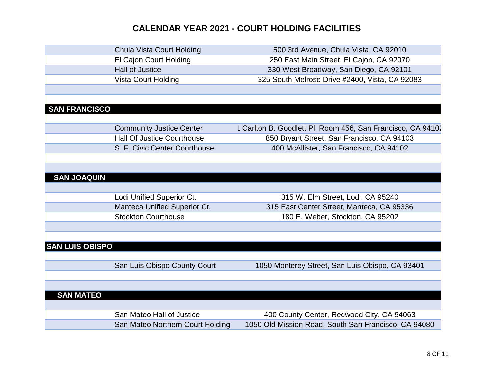|                        | <b>Chula Vista Court Holding</b>  | 500 3rd Avenue, Chula Vista, CA 92010                     |
|------------------------|-----------------------------------|-----------------------------------------------------------|
|                        | El Cajon Court Holding            | 250 East Main Street, El Cajon, CA 92070                  |
|                        | <b>Hall of Justice</b>            | 330 West Broadway, San Diego, CA 92101                    |
|                        | <b>Vista Court Holding</b>        | 325 South Melrose Drive #2400, Vista, CA 92083            |
|                        |                                   |                                                           |
|                        |                                   |                                                           |
| <b>SAN FRANCISCO</b>   |                                   |                                                           |
|                        |                                   |                                                           |
|                        | <b>Community Justice Center</b>   | Carlton B. Goodlett PI, Room 456, San Francisco, CA 94102 |
|                        | <b>Hall Of Justice Courthouse</b> | 850 Bryant Street, San Francisco, CA 94103                |
|                        | S. F. Civic Center Courthouse     | 400 McAllister, San Francisco, CA 94102                   |
|                        |                                   |                                                           |
|                        |                                   |                                                           |
| <b>SAN JOAQUIN</b>     |                                   |                                                           |
|                        |                                   |                                                           |
|                        | Lodi Unified Superior Ct.         | 315 W. Elm Street, Lodi, CA 95240                         |
|                        | Manteca Unified Superior Ct.      | 315 East Center Street, Manteca, CA 95336                 |
|                        | <b>Stockton Courthouse</b>        | 180 E. Weber, Stockton, CA 95202                          |
|                        |                                   |                                                           |
|                        |                                   |                                                           |
| <b>SAN LUIS OBISPO</b> |                                   |                                                           |
|                        |                                   |                                                           |
|                        | San Luis Obispo County Court      | 1050 Monterey Street, San Luis Obispo, CA 93401           |
|                        |                                   |                                                           |
|                        |                                   |                                                           |
| <b>SAN MATEO</b>       |                                   |                                                           |
|                        |                                   |                                                           |
|                        | San Mateo Hall of Justice         | 400 County Center, Redwood City, CA 94063                 |
|                        | San Mateo Northern Court Holding  | 1050 Old Mission Road, South San Francisco, CA 94080      |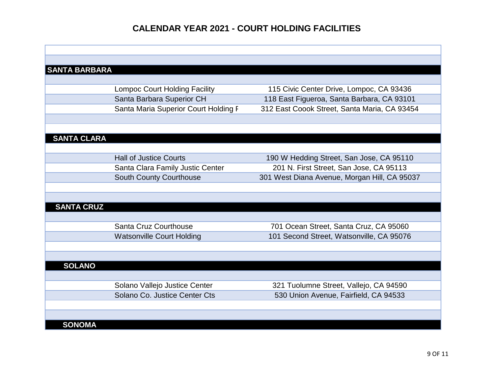| <b>SANTA BARBARA</b> |                                      |                                              |
|----------------------|--------------------------------------|----------------------------------------------|
|                      |                                      |                                              |
|                      | <b>Lompoc Court Holding Facility</b> | 115 Civic Center Drive, Lompoc, CA 93436     |
|                      | Santa Barbara Superior CH            | 118 East Figueroa, Santa Barbara, CA 93101   |
|                      | Santa Maria Superior Court Holding F | 312 East Coook Street, Santa Maria, CA 93454 |
|                      |                                      |                                              |
|                      |                                      |                                              |
| <b>SANTA CLARA</b>   |                                      |                                              |
|                      |                                      |                                              |
|                      | <b>Hall of Justice Courts</b>        | 190 W Hedding Street, San Jose, CA 95110     |
|                      | Santa Clara Family Justic Center     | 201 N. First Street, San Jose, CA 95113      |
|                      | <b>South County Courthouse</b>       | 301 West Diana Avenue, Morgan Hill, CA 95037 |
|                      |                                      |                                              |
|                      |                                      |                                              |
| <b>SANTA CRUZ</b>    |                                      |                                              |
|                      |                                      |                                              |
|                      | Santa Cruz Courthouse                | 701 Ocean Street, Santa Cruz, CA 95060       |
|                      | <b>Watsonville Court Holding</b>     | 101 Second Street, Watsonville, CA 95076     |
|                      |                                      |                                              |
|                      |                                      |                                              |
| <b>SOLANO</b>        |                                      |                                              |
|                      |                                      |                                              |
|                      | Solano Vallejo Justice Center        | 321 Tuolumne Street, Vallejo, CA 94590       |
|                      | Solano Co. Justice Center Cts        | 530 Union Avenue, Fairfield, CA 94533        |
|                      |                                      |                                              |
|                      |                                      |                                              |
| <b>SONOMA</b>        |                                      |                                              |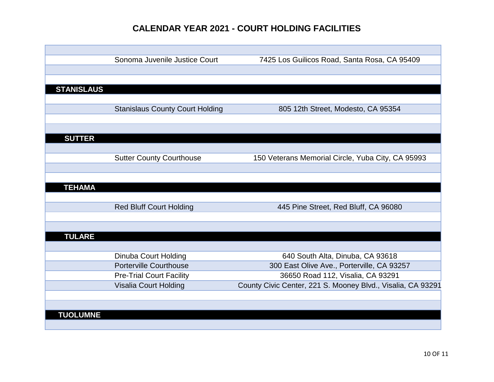|                   | Sonoma Juvenile Justice Court          | 7425 Los Guilicos Road, Santa Rosa, CA 95409                |
|-------------------|----------------------------------------|-------------------------------------------------------------|
|                   |                                        |                                                             |
|                   |                                        |                                                             |
| <b>STANISLAUS</b> |                                        |                                                             |
|                   |                                        |                                                             |
|                   | <b>Stanislaus County Court Holding</b> | 805 12th Street, Modesto, CA 95354                          |
|                   |                                        |                                                             |
|                   |                                        |                                                             |
| <b>SUTTER</b>     |                                        |                                                             |
|                   |                                        |                                                             |
|                   | <b>Sutter County Courthouse</b>        | 150 Veterans Memorial Circle, Yuba City, CA 95993           |
|                   |                                        |                                                             |
|                   |                                        |                                                             |
| <b>TEHAMA</b>     |                                        |                                                             |
|                   |                                        |                                                             |
|                   | <b>Red Bluff Court Holding</b>         | 445 Pine Street, Red Bluff, CA 96080                        |
|                   |                                        |                                                             |
|                   |                                        |                                                             |
| <b>TULARE</b>     |                                        |                                                             |
|                   |                                        |                                                             |
|                   | Dinuba Court Holding                   | 640 South Alta, Dinuba, CA 93618                            |
|                   | <b>Porterville Courthouse</b>          | 300 East Olive Ave., Porterville, CA 93257                  |
|                   | <b>Pre-Trial Court Facility</b>        | 36650 Road 112, Visalia, CA 93291                           |
|                   | Visalia Court Holding                  | County Civic Center, 221 S. Mooney Blvd., Visalia, CA 93291 |
|                   |                                        |                                                             |
|                   |                                        |                                                             |
| <b>TUOLUMNE</b>   |                                        |                                                             |
|                   |                                        |                                                             |